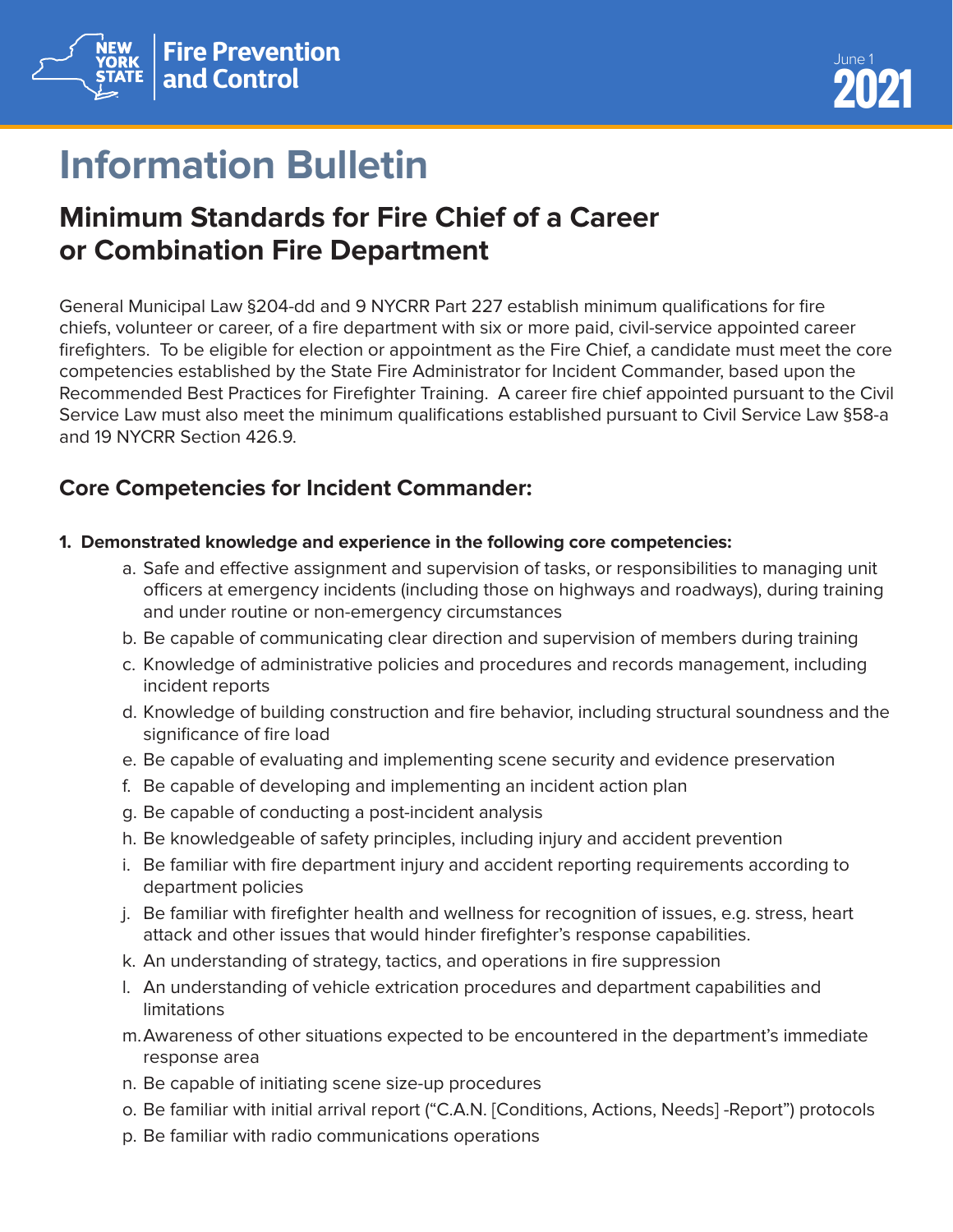



# **Information Bulletin**

## **Minimum Standards for Fire Chief of a Career or Combination Fire Department**

General Municipal Law §204-dd and 9 NYCRR Part 227 establish minimum qualifications for fire chiefs, volunteer or career, of a fire department with six or more paid, civil-service appointed career firefighters. To be eligible for election or appointment as the Fire Chief, a candidate must meet the core competencies established by the State Fire Administrator for Incident Commander, based upon the Recommended Best Practices for Firefighter Training. A career fire chief appointed pursuant to the Civil Service Law must also meet the minimum qualifications established pursuant to Civil Service Law §58-a and 19 NYCRR Section 426.9.

### **Core Competencies for Incident Commander:**

- **1. Demonstrated knowledge and experience in the following core competencies:**
	- a. Safe and effective assignment and supervision of tasks, or responsibilities to managing unit officers at emergency incidents (including those on highways and roadways), during training and under routine or non-emergency circumstances
	- b. Be capable of communicating clear direction and supervision of members during training
	- c. Knowledge of administrative policies and procedures and records management, including incident reports
	- d. Knowledge of building construction and fire behavior, including structural soundness and the significance of fire load
	- e. Be capable of evaluating and implementing scene security and evidence preservation
	- f. Be capable of developing and implementing an incident action plan
	- g. Be capable of conducting a post-incident analysis
	- h. Be knowledgeable of safety principles, including injury and accident prevention
	- i. Be familiar with fire department injury and accident reporting requirements according to department policies
	- j. Be familiar with firefighter health and wellness for recognition of issues, e.g. stress, heart attack and other issues that would hinder firefighter's response capabilities.
	- k. An understanding of strategy, tactics, and operations in fire suppression
	- l. An understanding of vehicle extrication procedures and department capabilities and limitations
	- m.Awareness of other situations expected to be encountered in the department's immediate response area
	- n. Be capable of initiating scene size-up procedures
	- o. Be familiar with initial arrival report ("C.A.N. [Conditions, Actions, Needs] -Report") protocols
	- p. Be familiar with radio communications operations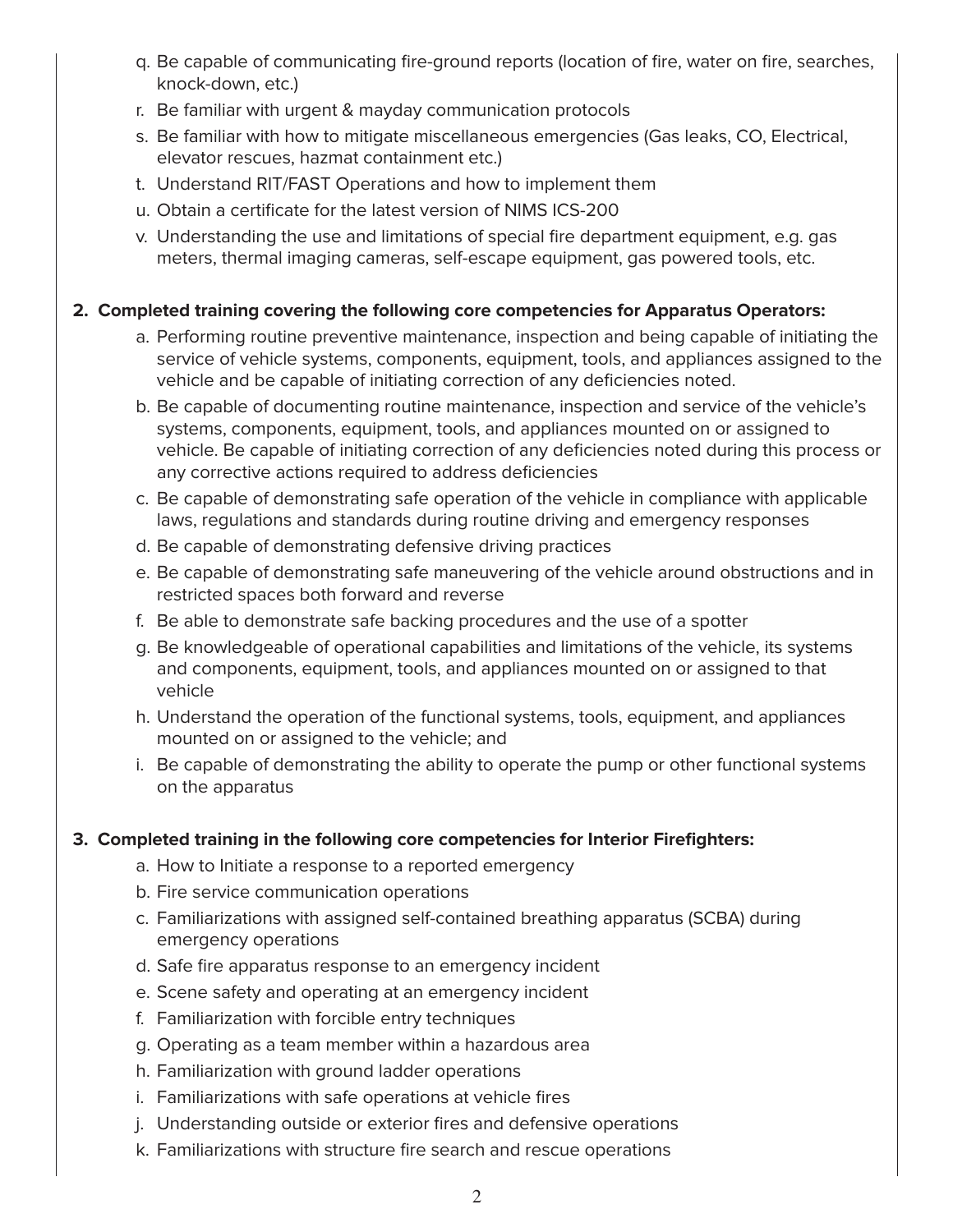- q. Be capable of communicating fire-ground reports (location of fire, water on fire, searches, knock-down, etc.)
- r. Be familiar with urgent & mayday communication protocols
- s. Be familiar with how to mitigate miscellaneous emergencies (Gas leaks, CO, Electrical, elevator rescues, hazmat containment etc.)
- t. Understand RIT/FAST Operations and how to implement them
- u. Obtain a certificate for the latest version of NIMS ICS-200
- v. Understanding the use and limitations of special fire department equipment, e.g. gas meters, thermal imaging cameras, self-escape equipment, gas powered tools, etc.

#### **2. Completed training covering the following core competencies for Apparatus Operators:**

- a. Performing routine preventive maintenance, inspection and being capable of initiating the service of vehicle systems, components, equipment, tools, and appliances assigned to the vehicle and be capable of initiating correction of any deficiencies noted.
- b. Be capable of documenting routine maintenance, inspection and service of the vehicle's systems, components, equipment, tools, and appliances mounted on or assigned to vehicle. Be capable of initiating correction of any deficiencies noted during this process or any corrective actions required to address deficiencies
- c. Be capable of demonstrating safe operation of the vehicle in compliance with applicable laws, regulations and standards during routine driving and emergency responses
- d. Be capable of demonstrating defensive driving practices
- e. Be capable of demonstrating safe maneuvering of the vehicle around obstructions and in restricted spaces both forward and reverse
- f. Be able to demonstrate safe backing procedures and the use of a spotter
- g. Be knowledgeable of operational capabilities and limitations of the vehicle, its systems and components, equipment, tools, and appliances mounted on or assigned to that vehicle
- h. Understand the operation of the functional systems, tools, equipment, and appliances mounted on or assigned to the vehicle; and
- i. Be capable of demonstrating the ability to operate the pump or other functional systems on the apparatus

#### **3. Completed training in the following core competencies for Interior Firefighters:**

- a. How to Initiate a response to a reported emergency
- b. Fire service communication operations
- c. Familiarizations with assigned self-contained breathing apparatus (SCBA) during emergency operations
- d. Safe fire apparatus response to an emergency incident
- e. Scene safety and operating at an emergency incident
- f. Familiarization with forcible entry techniques
- g. Operating as a team member within a hazardous area
- h. Familiarization with ground ladder operations
- i. Familiarizations with safe operations at vehicle fires
- j. Understanding outside or exterior fires and defensive operations
- k. Familiarizations with structure fire search and rescue operations